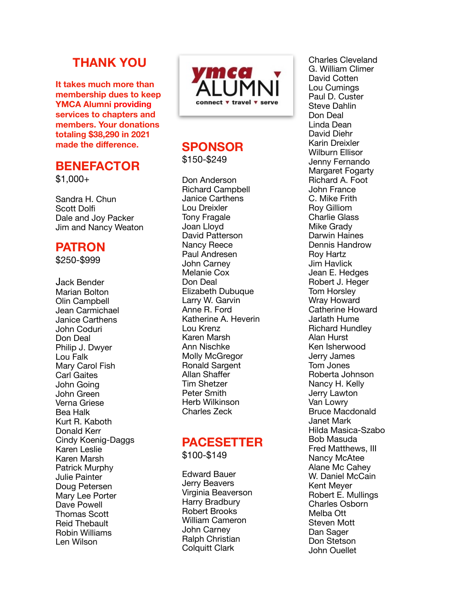## **THANK YOU**

**It takes much more than membership dues to keep YMCA Alumni providing services to chapters and members. Your donations totaling \$38,290 in 2021 made the di fference.**

#### **BENEFACTOR**

 $$1,000+$ 

Sandra H. Chun Scott Dolf Dale and Joy Packer Jim and Nancy Weaton

#### **PATRON**

\$250-\$999

Jack Bender Marian Bolton Olin Campbell Jean Carmichael Janice Carthens John Coduri Don Deal Philip J. Dwyer Lou Falk Mary Carol Fish Carl Gaites John Going John Green Verna Griese Bea Halk Kurt R. Kaboth Donald Kerr Cindy Koenig-Daggs Karen Leslie Karen Marsh Patrick Murphy Julie Painter Doug Petersen Mary Lee Porter Dave Powell Thomas Scott Reid Thebault Robin Williams Len Wilson



# **SPONSOR**

\$150-\$249

Don Anderson Richard Campbell Janice Carthens Lou Dreixler Tony Fragale Joan Lloyd David Patterson Nancy Reece Paul Andresen John Carney Melanie Cox Don Deal Elizabeth Dubuque Larry W. Garvin Anne R. Ford Katherine A. Heverin Lou Krenz Karen Marsh Ann Nischke Molly McGregor Ronald Sargent Allan Sha ffer Tim Shetzer Peter Smith Herb Wilkinson Charles Zeck

# **PACESETTER**

\$100-\$149

Edward Bauer Jerry Beavers Virginia Beaverson Harry Bradbury Robert Brooks William Cameron John Carney Ralph Christian Colquitt Clark

Charles Cleveland G. William Climer David Cotten Lou Cumings Paul D. Custer Steve Dahlin Don Deal Linda Dean David Diehr Karin Dreixler Wilburn Ellisor Jenny Fernando Margaret Fogarty Richard A. Foot John France C. Mike Frith Roy Gilliom Charlie Glass Mike Grady Darwin Haines Dennis Handrow Roy Hartz Jim Havlick Jean E. Hedges Robert J. Heger Tom Horsley Wray Howard Catherine Howard Jarlath Hume Richard Hundley Alan Hurst Ken Isherwood Jerry James Tom Jones Roberta Johnson Nancy H. Kelly Jerry Lawton Van Lowry Bruce Macdonald Janet Mark Hilda Masica-Szabo Bob Masuda Fred Matthews, III Nancy McAtee Alane Mc Cahey W. Daniel McCain Kent Meyer Robert E. Mullings Charles Osborn Melba Ott Steven Mott Dan Sager Don Stetson John Ouellet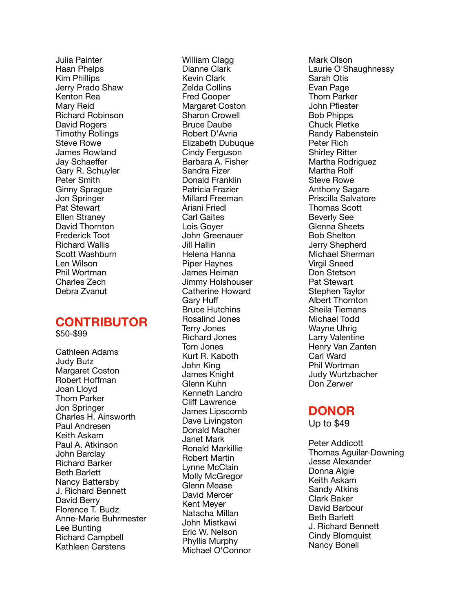Julia Painter Haan Phelps Kim Phillips Jerry Prado Shaw Kenton Rea Mary Reid Richard Robinson David Rogers Timothy Rollings Steve Rowe James Rowland Jay Schae ffer Gary R. Schuyler Peter Smith Ginny Sprague Jon Springer Pat Stewart Ellen Straney David Thornton Frederick Toot Richard Wallis Scott Washburn Len Wilson Phil Wortman Charles Zech Debra Zvanut

### **CONTRIBUTOR**

\$50-\$99

Cathleen Adams Judy Butz Margaret Coston Robert Ho ffman Joan Lloyd Thom Parker Jon Springer Charles H. Ainsworth Paul Andresen Keith Askam Paul A. Atkinson John Barclay Richard Barker Beth Barlett Nancy Battersby J. Richard Bennett David Berry Florence T. Budz Anne-Marie Buhrmester Lee Bunting Richard Campbell Kathleen Carstens

William Clagg Dianne Clark Kevin Clark Zelda Collins Fred Cooper Margaret Coston Sharon Crowell Bruce Daube Robert D'Avria Elizabeth Dubuque Cindy Ferguson Barbara A. Fisher Sandra Fizer Donald Franklin Patricia Frazier Millard Freeman Ariani Friedl Carl Gaites Lois Goyer John Greenauer Jill Hallin Helena Hanna Piper Haynes James Heiman Jimmy Holshouser Catherine Howard Garv Huff ff Bruce Hutchins Rosalind Jones Terry Jones Richard Jones Tom Jones Kurt R. Kaboth John King James Knight Glenn Kuhn Kenneth Landro Cli ff Lawrence James Lipscomb Dave Livingston Donald Macher Janet Mark Ronald Markillie Robert Martin Lynne McClain Molly McGregor Glenn Mease David Mercer Kent Meyer Natacha Millan John Mistkawi Eric W. Nelson Phyllis Murphy Michael O'Connor

Mark Olson Laurie O'Shaughnessy Sarah Otis Evan Page Thom Parker John P fiester Bob Phipps Chuck Pletke Randy Rabenstein Peter Rich Shirley Ritter Martha Rodriguez Martha Rolf Steve Rowe Anthony Sagare Priscilla Salvatore Thomas Scott Beverly See Glenna Sheets Bob Shelton Jerry Shepherd Michael Sherman Virgil Sneed Don Stetson Pat Stewart Stephen Taylor Albert Thornton Sheila Tiemans Michael Todd Wayne Uhrig Larry Valentine Henry Van Zanten Carl Ward Phil Wortman Judy Wurtzbacher Don Zerwer

#### **DONOR**

Up to \$49

Peter Addicott Thomas Aguilar-Downing Jesse Alexander Donna Algie Keith Askam Sandy Atkins Clark Baker David Barbour Beth Barlett J. Richard Bennett Cindy Blomquist Nancy Bonell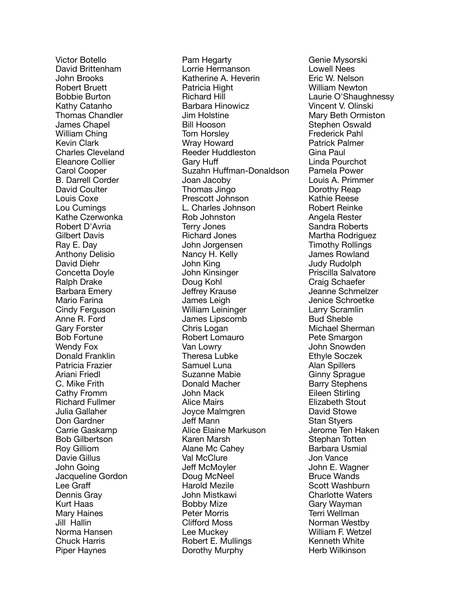Victor Botello David Brittenham John Brooks Robert Bruett Bobbie Burton Kathy Catanho Thomas Chandler James Chapel William Ching Kevin Clark Charles Cleveland Eleanore Collier Carol Cooper B. Darrell Corder David Coulter Louis Coxe Lou Cumings Kathe Czerwonka Robert D'Avria Gilbert Davis Ray E. Day Anthony Delisio David Diehr Concetta Doyle Ralph Drake Barbara Emery Mario Farina Cindy Ferguson Anne R. Ford Gary Forster Bob Fortune Wendy Fox Donald Franklin Patricia Frazier Ariani Friedl C. Mike Frith Cathy Fromm Richard Fullmer Julia Gallaher Don Gardner Carrie Gaskamp Bob Gilbertson Roy Gilliom Davie Gillus John Going Jacqueline Gordon Lee Gra ff Dennis Gray Kurt Haas Mary Haines Jill Hallin Norma Hansen Chuck Harris Piper Haynes

Pam Hegarty Lorrie Hermanson Katherine A. Heverin Patricia Hight Richard Hill Barbara Hinowicz Jim Holstine Bill Hooson Tom Horsley Wray Howard Reeder Huddleston Garv Huff ff Suzahn Hu ffman-Donaldson Joan Jacoby Thomas Jingo Prescott Johnson L. Charles Johnson Rob Johnston Terry Jones Richard Jones John Jorgensen Nancy H. Kelly John King John Kinsinger Doug Kohl Je ffrey Krause James Leigh William Leininger James Lipscomb Chris Logan Robert Lomauro Van Lowry Theresa Lubke Samuel Luna Suzanne Mabie Donald Macher John Mack Alice Mairs Joyce Malmgren Je ff Mann Alice Elaine Markuson Karen Marsh Alane Mc Cahey Val McClure Je ff McMoyler Doug McNeel Harold Mezile John Mistkawi Bobby Mize Peter Morris Cli fford Moss Lee Muckey Robert E. Mullings Dorothy Murphy

Genie Mysorski Lowell Nees Eric W. Nelson William Newton Laurie O'Shaughnessy Vincent V. Olinski Mary Beth Ormiston Stephen Oswald Frederick Pahl Patrick Palmer Gina Paul Linda Pourchot Pamela Power Louis A. Primmer Dorothy Reap Kathie Reese Robert Reinke Angela Rester Sandra Roberts Martha Rodriguez Timothy Rollings James Rowland Judy Rudolph Priscilla Salvatore Craig Schaefer Jeanne Schmelzer Jenice Schroetke Larry Scramlin Bud Sheble Michael Sherman Pete Smargon John Snowden Ethyle Soczek Alan Spillers Ginny Sprague Barry Stephens Eileen Stirling Elizabeth Stout David Stowe Stan Styers Jerome Ten Haken Stephan Totten Barbara Usmial Jon Vance John E. Wagner Bruce Wands Scott Washburn Charlotte Waters Gary Wayman Terri Wellman Norman Westby William F. Wetzel Kenneth White Herb Wilkinson